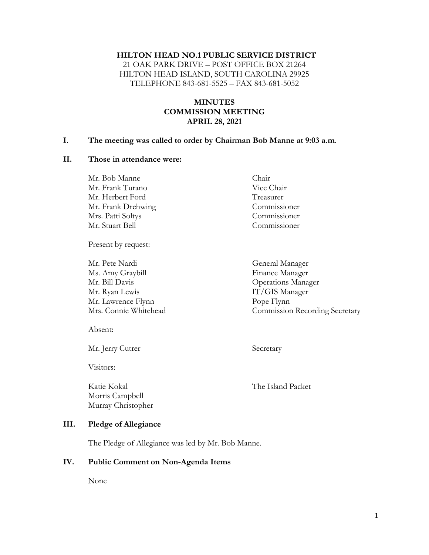#### **HILTON HEAD NO.1 PUBLIC SERVICE DISTRICT**

21 OAK PARK DRIVE – POST OFFICE BOX 21264 HILTON HEAD ISLAND, SOUTH CAROLINA 29925 TELEPHONE 843-681-5525 – FAX 843-681-5052

### **MINUTES COMMISSION MEETING APRIL 28, 2021**

#### **I. The meeting was called to order by Chairman Bob Manne at 9:03 a.m**.

#### **II. Those in attendance were:**

| Mr. Bob Manne      | Chair        |
|--------------------|--------------|
| Mr. Frank Turano   | Vice Chair   |
| Mr. Herbert Ford   | Treasurer    |
| Mr. Frank Drehwing | Commissioner |
| Mrs. Patti Soltys  | Commissioner |
| Mr. Stuart Bell    | Commissioner |
|                    |              |

Present by request:

Mr. Pete Nardi General Manager Ms. Amy Graybill **Finance Manager** Mr. Bill Davis Operations Manager Mr. Ryan Lewis **IT/GIS Manager** Mr. Lawrence Flynn Pope Flynn Mrs. Connie Whitehead Commission Recording Secretary

Absent:

Mr. Jerry Cutrer Secretary

Visitors:

Katie Kokal The Island Packet Morris Campbell Murray Christopher

#### **III. Pledge of Allegiance**

The Pledge of Allegiance was led by Mr. Bob Manne.

#### **IV. Public Comment on Non-Agenda Items**

None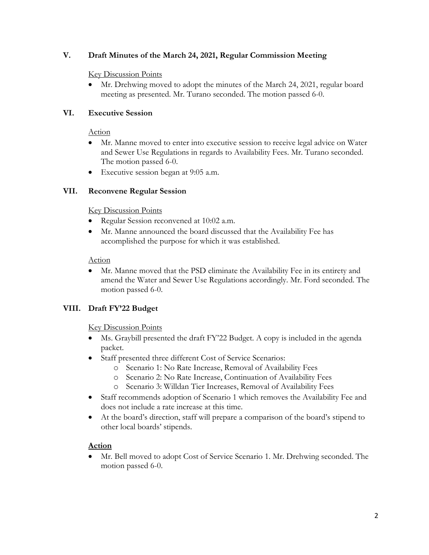## **V. Draft Minutes of the March 24, 2021, Regular Commission Meeting**

#### Key Discussion Points

• Mr. Drehwing moved to adopt the minutes of the March 24, 2021, regular board meeting as presented. Mr. Turano seconded. The motion passed 6-0.

### **VI. Executive Session**

#### Action

- Mr. Manne moved to enter into executive session to receive legal advice on Water and Sewer Use Regulations in regards to Availability Fees. Mr. Turano seconded. The motion passed 6-0.
- Executive session began at 9:05 a.m.

### **VII. Reconvene Regular Session**

#### Key Discussion Points

- Regular Session reconvened at 10:02 a.m.
- Mr. Manne announced the board discussed that the Availability Fee has accomplished the purpose for which it was established.

### Action

• Mr. Manne moved that the PSD eliminate the Availability Fee in its entirety and amend the Water and Sewer Use Regulations accordingly. Mr. Ford seconded. The motion passed 6-0.

## **VIII. Draft FY'22 Budget**

#### Key Discussion Points

- Ms. Graybill presented the draft FY'22 Budget. A copy is included in the agenda packet.
- Staff presented three different Cost of Service Scenarios:
	- o Scenario 1: No Rate Increase, Removal of Availability Fees
	- o Scenario 2: No Rate Increase, Continuation of Availability Fees
	- o Scenario 3: Willdan Tier Increases, Removal of Availability Fees
- Staff recommends adoption of Scenario 1 which removes the Availability Fee and does not include a rate increase at this time.
- At the board's direction, staff will prepare a comparison of the board's stipend to other local boards' stipends.

## **Action**

• Mr. Bell moved to adopt Cost of Service Scenario 1. Mr. Drehwing seconded. The motion passed 6-0.